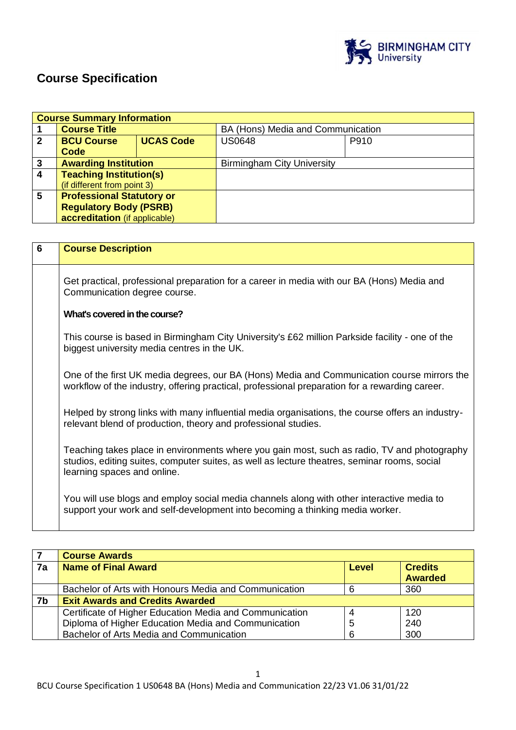

# **Course Specification**

|              | <b>Course Summary Information</b> |                  |                                   |      |  |
|--------------|-----------------------------------|------------------|-----------------------------------|------|--|
|              | <b>Course Title</b>               |                  | BA (Hons) Media and Communication |      |  |
| $\mathbf{2}$ | <b>BCU Course</b>                 | <b>UCAS Code</b> | <b>US0648</b>                     | P910 |  |
|              | Code                              |                  |                                   |      |  |
| 3            | <b>Awarding Institution</b>       |                  | <b>Birmingham City University</b> |      |  |
| 4            | <b>Teaching Institution(s)</b>    |                  |                                   |      |  |
|              | (if different from point 3)       |                  |                                   |      |  |
| 5            | <b>Professional Statutory or</b>  |                  |                                   |      |  |
|              | <b>Regulatory Body (PSRB)</b>     |                  |                                   |      |  |
|              | accreditation (if applicable)     |                  |                                   |      |  |

| $6\phantom{1}6$ | <b>Course Description</b>                                                                                                                                                                                                  |
|-----------------|----------------------------------------------------------------------------------------------------------------------------------------------------------------------------------------------------------------------------|
|                 | Get practical, professional preparation for a career in media with our BA (Hons) Media and<br>Communication degree course.                                                                                                 |
|                 | What's covered in the course?                                                                                                                                                                                              |
|                 | This course is based in Birmingham City University's £62 million Parkside facility - one of the<br>biggest university media centres in the UK.                                                                             |
|                 | One of the first UK media degrees, our BA (Hons) Media and Communication course mirrors the<br>workflow of the industry, offering practical, professional preparation for a rewarding career.                              |
|                 | Helped by strong links with many influential media organisations, the course offers an industry-<br>relevant blend of production, theory and professional studies.                                                         |
|                 | Teaching takes place in environments where you gain most, such as radio, TV and photography<br>studios, editing suites, computer suites, as well as lecture theatres, seminar rooms, social<br>learning spaces and online. |
|                 | You will use blogs and employ social media channels along with other interactive media to<br>support your work and self-development into becoming a thinking media worker.                                                 |

|    | <b>Course Awards</b>                                    |       |                                  |
|----|---------------------------------------------------------|-------|----------------------------------|
| 7a | <b>Name of Final Award</b>                              | Level | <b>Credits</b><br><b>Awarded</b> |
|    |                                                         |       |                                  |
|    | Bachelor of Arts with Honours Media and Communication   |       | 360                              |
| 7b | <b>Exit Awards and Credits Awarded</b>                  |       |                                  |
|    | Certificate of Higher Education Media and Communication |       | 120                              |
|    | Diploma of Higher Education Media and Communication     | 5     | 240                              |
|    | Bachelor of Arts Media and Communication                | 6     | 300                              |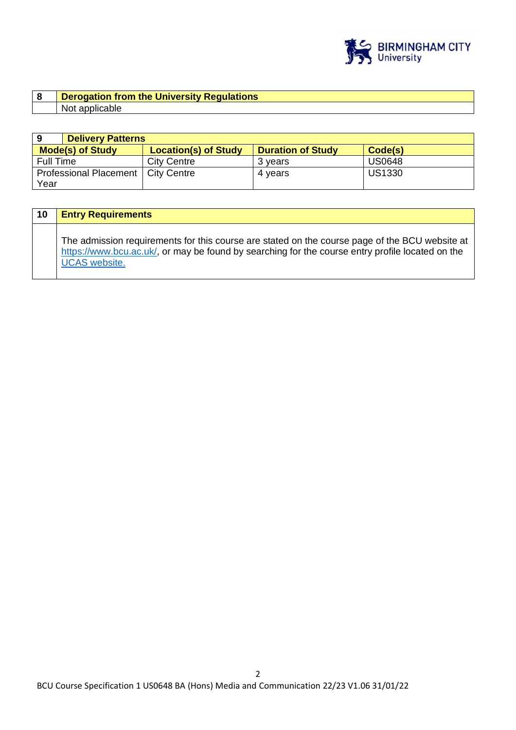

| Derogation from the University Regulations |
|--------------------------------------------|
| Not applicable                             |

|                         | <b>Delivery Patterns</b>    |                          |               |  |  |
|-------------------------|-----------------------------|--------------------------|---------------|--|--|
| <b>Mode(s) of Study</b> | <b>Location(s) of Study</b> | <b>Duration of Study</b> | Code(s)       |  |  |
| <b>Full Time</b>        | <b>City Centre</b>          | 3 vears                  | <b>US0648</b> |  |  |
| Professional Placement  | <b>City Centre</b>          | 4 years                  | <b>US1330</b> |  |  |
| Year                    |                             |                          |               |  |  |

| 10 | <b>Entry Requirements</b>                                                                                                                                                                                                  |
|----|----------------------------------------------------------------------------------------------------------------------------------------------------------------------------------------------------------------------------|
|    | The admission requirements for this course are stated on the course page of the BCU website at<br>https://www.bcu.ac.uk/, or may be found by searching for the course entry profile located on the<br><b>UCAS</b> website. |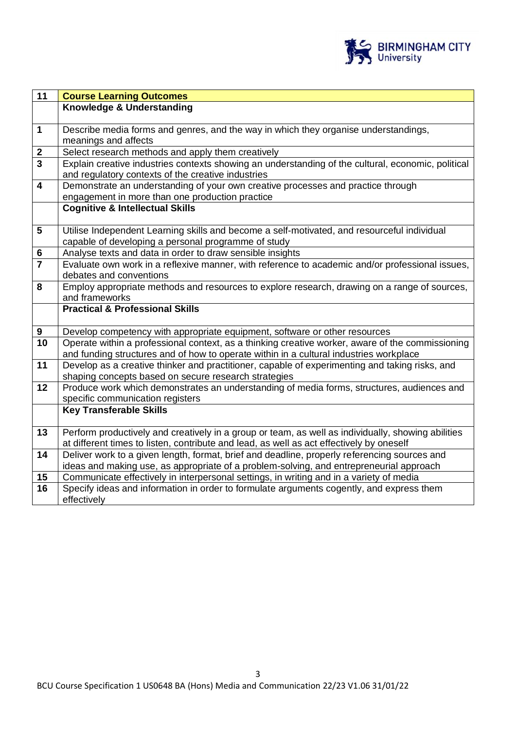

| $\overline{11}$                    | <b>Course Learning Outcomes</b>                                                                                                                          |
|------------------------------------|----------------------------------------------------------------------------------------------------------------------------------------------------------|
|                                    | Knowledge & Understanding                                                                                                                                |
|                                    |                                                                                                                                                          |
| $\mathbf{1}$                       | Describe media forms and genres, and the way in which they organise understandings,                                                                      |
|                                    | meanings and affects                                                                                                                                     |
| $\boldsymbol{2}$<br>$\overline{3}$ | Select research methods and apply them creatively                                                                                                        |
|                                    | Explain creative industries contexts showing an understanding of the cultural, economic, political<br>and regulatory contexts of the creative industries |
| $\overline{\mathbf{4}}$            | Demonstrate an understanding of your own creative processes and practice through                                                                         |
|                                    | engagement in more than one production practice                                                                                                          |
|                                    | <b>Cognitive &amp; Intellectual Skills</b>                                                                                                               |
|                                    |                                                                                                                                                          |
| $5\phantom{1}$                     | Utilise Independent Learning skills and become a self-motivated, and resourceful individual                                                              |
|                                    | capable of developing a personal programme of study                                                                                                      |
| 6                                  | Analyse texts and data in order to draw sensible insights                                                                                                |
| $\overline{7}$                     | Evaluate own work in a reflexive manner, with reference to academic and/or professional issues,                                                          |
|                                    | debates and conventions                                                                                                                                  |
| 8                                  | Employ appropriate methods and resources to explore research, drawing on a range of sources,                                                             |
|                                    | and frameworks                                                                                                                                           |
|                                    | <b>Practical &amp; Professional Skills</b>                                                                                                               |
| 9                                  | Develop competency with appropriate equipment, software or other resources                                                                               |
| $\overline{10}$                    | Operate within a professional context, as a thinking creative worker, aware of the commissioning                                                         |
|                                    | and funding structures and of how to operate within in a cultural industries workplace                                                                   |
| 11                                 | Develop as a creative thinker and practitioner, capable of experimenting and taking risks, and                                                           |
|                                    | shaping concepts based on secure research strategies                                                                                                     |
| 12                                 | Produce work which demonstrates an understanding of media forms, structures, audiences and                                                               |
|                                    | specific communication registers                                                                                                                         |
|                                    | <b>Key Transferable Skills</b>                                                                                                                           |
| 13                                 | Perform productively and creatively in a group or team, as well as individually, showing abilities                                                       |
|                                    | at different times to listen, contribute and lead, as well as act effectively by oneself                                                                 |
| 14                                 | Deliver work to a given length, format, brief and deadline, properly referencing sources and                                                             |
|                                    | ideas and making use, as appropriate of a problem-solving, and entrepreneurial approach                                                                  |
| 15                                 | Communicate effectively in interpersonal settings, in writing and in a variety of media                                                                  |
| 16                                 | Specify ideas and information in order to formulate arguments cogently, and express them                                                                 |
|                                    | effectively                                                                                                                                              |

3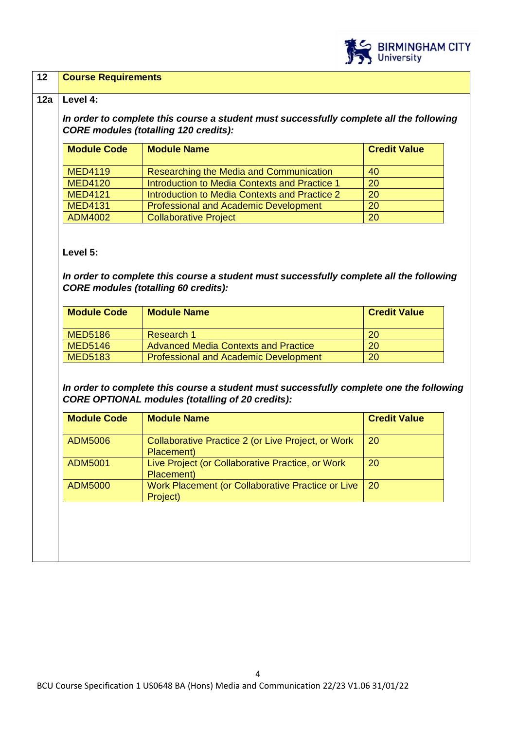

#### **12 Course Requirements**

#### **12a Level 4:**

*In order to complete this course a student must successfully complete all the following CORE modules (totalling 120 credits):*

| <b>Module Code</b> | <b>Module Name</b>                            | <b>Credit Value</b> |
|--------------------|-----------------------------------------------|---------------------|
| <b>MED4119</b>     | Researching the Media and Communication       | 40                  |
| <b>MED4120</b>     | Introduction to Media Contexts and Practice 1 | 20                  |
| <b>MED4121</b>     | Introduction to Media Contexts and Practice 2 | 20                  |
| <b>MED4131</b>     | <b>Professional and Academic Development</b>  | 20                  |
| ADM4002            | <b>Collaborative Project</b>                  | 20                  |

#### **Level 5:**

*In order to complete this course a student must successfully complete all the following CORE modules (totalling 60 credits):*

| <b>Module Code</b> | <b>Module Name</b>                           | <b>Credit Value</b> |
|--------------------|----------------------------------------------|---------------------|
| <b>MED5186</b>     | Research 1                                   | <b>20</b>           |
| <b>MED5146</b>     | <b>Advanced Media Contexts and Practice</b>  | 20                  |
| <b>MED5183</b>     | <b>Professional and Academic Development</b> | 20                  |

*In order to complete this course a student must successfully complete one the following CORE OPTIONAL modules (totalling of 20 credits):*

| <b>Module Code</b> | <b>Module Name</b>                                               | <b>Credit Value</b> |
|--------------------|------------------------------------------------------------------|---------------------|
| ADM5006            | Collaborative Practice 2 (or Live Project, or Work<br>Placement) | 20                  |
| <b>ADM5001</b>     | Live Project (or Collaborative Practice, or Work<br>Placement)   | 20                  |
| <b>ADM5000</b>     | Work Placement (or Collaborative Practice or Live<br>Project)    | 20                  |
|                    |                                                                  |                     |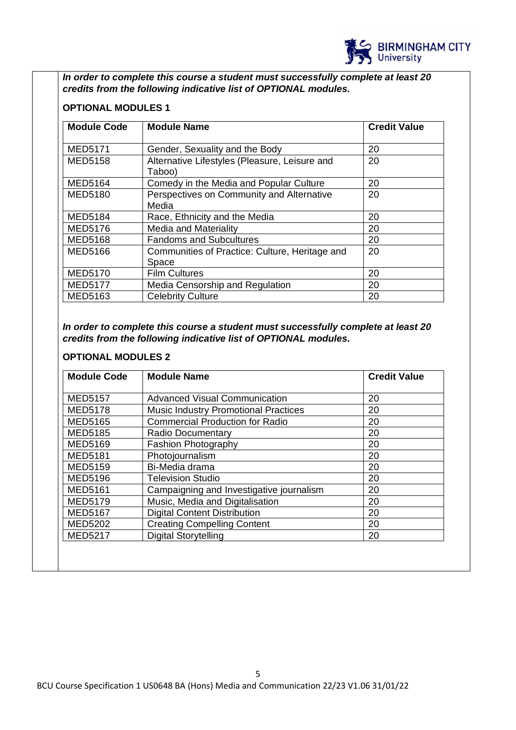

*In order to complete this course a student must successfully complete at least 20 credits from the following indicative list of OPTIONAL modules.* 

## **OPTIONAL MODULES 1**

| <b>Module Code</b> | <b>Module Name</b>                             | <b>Credit Value</b> |
|--------------------|------------------------------------------------|---------------------|
|                    |                                                |                     |
| <b>MED5171</b>     | Gender, Sexuality and the Body                 | 20                  |
| <b>MED5158</b>     | Alternative Lifestyles (Pleasure, Leisure and  | 20                  |
|                    | Taboo)                                         |                     |
| <b>MED5164</b>     | Comedy in the Media and Popular Culture        | 20                  |
| <b>MED5180</b>     | Perspectives on Community and Alternative      | 20                  |
|                    | Media                                          |                     |
| <b>MED5184</b>     | Race, Ethnicity and the Media                  | 20                  |
| <b>MED5176</b>     | <b>Media and Materiality</b>                   | 20                  |
| <b>MED5168</b>     | <b>Fandoms and Subcultures</b>                 | 20                  |
| <b>MED5166</b>     | Communities of Practice: Culture, Heritage and | 20                  |
|                    | Space                                          |                     |
| <b>MED5170</b>     | <b>Film Cultures</b>                           | 20                  |
| <b>MED5177</b>     | Media Censorship and Regulation                | 20                  |
| <b>MED5163</b>     | <b>Celebrity Culture</b>                       | 20                  |

*In order to complete this course a student must successfully complete at least 20 credits from the following indicative list of OPTIONAL modules.*

## **OPTIONAL MODULES 2**

| <b>Module Code</b> | <b>Module Name</b>                          |    |
|--------------------|---------------------------------------------|----|
|                    |                                             |    |
| <b>MED5157</b>     | <b>Advanced Visual Communication</b>        | 20 |
| <b>MED5178</b>     | <b>Music Industry Promotional Practices</b> | 20 |
| <b>MED5165</b>     | <b>Commercial Production for Radio</b>      | 20 |
| <b>MED5185</b>     | Radio Documentary                           | 20 |
| <b>MED5169</b>     | <b>Fashion Photography</b>                  | 20 |
| <b>MED5181</b>     | Photojournalism                             | 20 |
| <b>MED5159</b>     | Bi-Media drama                              | 20 |
| <b>MED5196</b>     | <b>Television Studio</b>                    | 20 |
| <b>MED5161</b>     | Campaigning and Investigative journalism    | 20 |
| <b>MED5179</b>     | Music, Media and Digitalisation             | 20 |
| <b>MED5167</b>     | <b>Digital Content Distribution</b>         | 20 |
| <b>MED5202</b>     | <b>Creating Compelling Content</b>          | 20 |
| <b>MED5217</b>     | <b>Digital Storytelling</b>                 | 20 |
|                    |                                             |    |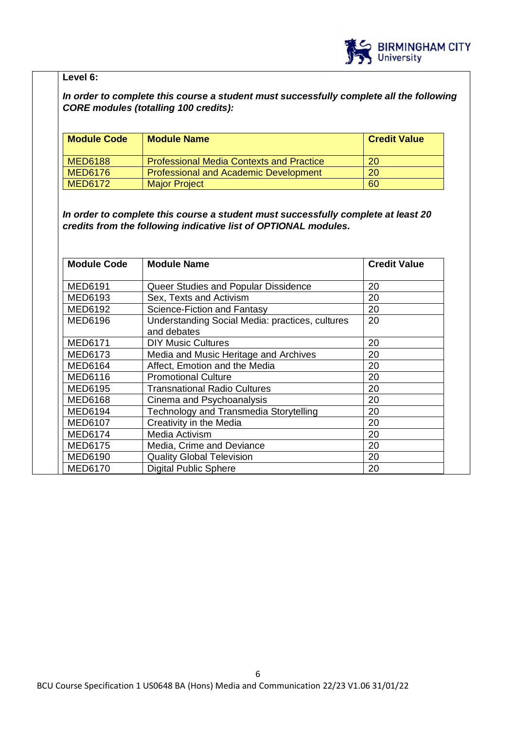

# **Level 6:**

# *In order to complete this course a student must successfully complete all the following CORE modules (totalling 100 credits):*

| <b>Module Code</b> | <b>Module Name</b>                              | <b>Credit Value</b> |
|--------------------|-------------------------------------------------|---------------------|
| <b>MED6188</b>     | <b>Professional Media Contexts and Practice</b> | 20                  |
| <b>MED6176</b>     | <b>Professional and Academic Development</b>    | 20                  |
| <b>MED6172</b>     | <b>Major Project</b>                            | 60                  |

*In order to complete this course a student must successfully complete at least 20 credits from the following indicative list of OPTIONAL modules.* 

| <b>Module Code</b> | <b>Module Name</b>                                             | <b>Credit Value</b> |
|--------------------|----------------------------------------------------------------|---------------------|
| MED6191            | Queer Studies and Popular Dissidence                           | 20                  |
| MED6193            | Sex, Texts and Activism                                        | 20                  |
| MED6192            | Science-Fiction and Fantasy                                    | 20                  |
| MED6196            | Understanding Social Media: practices, cultures<br>and debates | 20                  |
| <b>MED6171</b>     | <b>DIY Music Cultures</b>                                      | 20                  |
| MED6173            | Media and Music Heritage and Archives                          | 20                  |
| <b>MED6164</b>     | Affect, Emotion and the Media                                  | 20                  |
| MED6116            | <b>Promotional Culture</b>                                     | 20                  |
| MED6195            | <b>Transnational Radio Cultures</b>                            | 20                  |
| <b>MED6168</b>     | Cinema and Psychoanalysis                                      | 20                  |
| MED6194            | <b>Technology and Transmedia Storytelling</b>                  | 20                  |
| MED6107            | Creativity in the Media                                        | 20                  |
| MED6174            | Media Activism                                                 | 20                  |
| <b>MED6175</b>     | Media, Crime and Deviance                                      | 20                  |
| MED6190            | <b>Quality Global Television</b>                               | 20                  |
| <b>MED6170</b>     | <b>Digital Public Sphere</b>                                   | 20                  |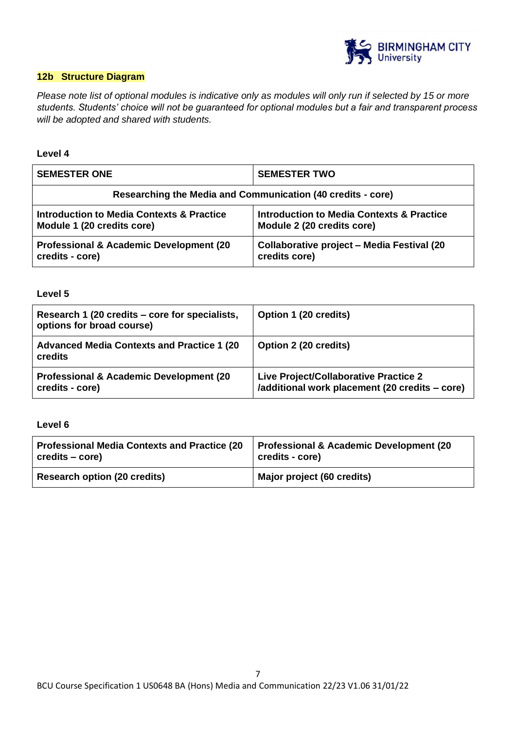

## **12b Structure Diagram**

*Please note list of optional modules is indicative only as modules will only run if selected by 15 or more students. Students' choice will not be guaranteed for optional modules but a fair and transparent process will be adopted and shared with students.*

#### **Level 4**

| <b>SEMESTER ONE</b>                                         | <b>SEMESTER TWO</b>                                |
|-------------------------------------------------------------|----------------------------------------------------|
| Researching the Media and Communication (40 credits - core) |                                                    |
| Introduction to Media Contexts & Practice                   | Introduction to Media Contexts & Practice          |
| Module 1 (20 credits core)                                  | Module 2 (20 credits core)                         |
| <b>Professional &amp; Academic Development (20)</b>         | <b>Collaborative project - Media Festival (20)</b> |
| credits - core)                                             | credits core)                                      |

**Level 5**

| Research 1 (20 credits – core for specialists,<br>options for broad course) | Option 1 (20 credits)                                                                   |
|-----------------------------------------------------------------------------|-----------------------------------------------------------------------------------------|
| <b>Advanced Media Contexts and Practice 1 (20)</b><br>credits               | Option 2 (20 credits)                                                                   |
| <b>Professional &amp; Academic Development (20)</b><br>credits - core)      | Live Project/Collaborative Practice 2<br>/additional work placement (20 credits – core) |

**Level 6**

| <b>Professional Media Contexts and Practice (20)</b> | Professional & Academic Development (20 |
|------------------------------------------------------|-----------------------------------------|
| credits – core)                                      | credits - core)                         |
| <b>Research option (20 credits)</b>                  | Major project (60 credits)              |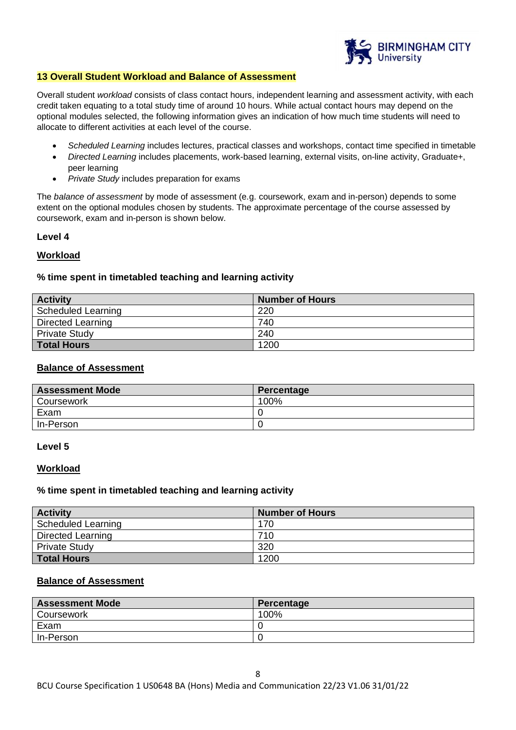

#### **13 Overall Student Workload and Balance of Assessment**

Overall student *workload* consists of class contact hours, independent learning and assessment activity, with each credit taken equating to a total study time of around 10 hours. While actual contact hours may depend on the optional modules selected, the following information gives an indication of how much time students will need to allocate to different activities at each level of the course.

- *Scheduled Learning* includes lectures, practical classes and workshops, contact time specified in timetable
- *Directed Learning* includes placements, work-based learning, external visits, on-line activity, Graduate+, peer learning
- *Private Study* includes preparation for exams

The *balance of assessment* by mode of assessment (e.g. coursework, exam and in-person) depends to some extent on the optional modules chosen by students. The approximate percentage of the course assessed by coursework, exam and in-person is shown below.

#### **Level 4**

#### **Workload**

#### **% time spent in timetabled teaching and learning activity**

| <b>Activity</b>           | <b>Number of Hours</b> |
|---------------------------|------------------------|
| <b>Scheduled Learning</b> | 220                    |
| Directed Learning         | 740                    |
| <b>Private Study</b>      | 240                    |
| <b>Total Hours</b>        | 1200                   |

### **Balance of Assessment**

| <b>Assessment Mode</b> | Percentage |
|------------------------|------------|
| Coursework             | 100%       |
| Exam                   |            |
| In-Person              | ◡          |

#### **Level 5**

#### **Workload**

#### **% time spent in timetabled teaching and learning activity**

| <b>Activity</b>           | <b>Number of Hours</b> |
|---------------------------|------------------------|
| <b>Scheduled Learning</b> | 170                    |
| Directed Learning         | 710                    |
| <b>Private Study</b>      | 320                    |
| <b>Total Hours</b>        | 1200                   |

#### **Balance of Assessment**

| <b>Assessment Mode</b> | Percentage |
|------------------------|------------|
| Coursework             | 100%       |
| Exam                   |            |
| In-Person              |            |